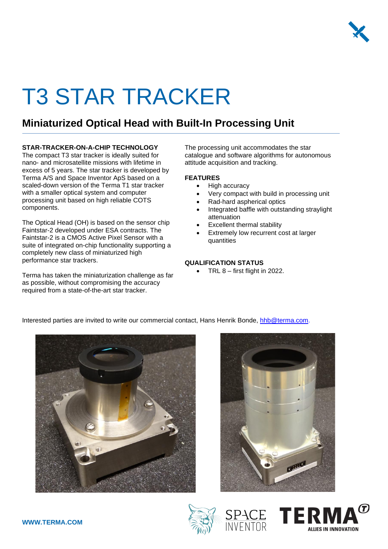

# T3 STAR TRACKER

### **Miniaturized Optical Head with Built-In Processing Unit**

#### **STAR-TRACKER-ON-A-CHIP TECHNOLOGY**

The compact T3 star tracker is ideally suited for nano- and microsatellite missions with lifetime in excess of 5 years. The star tracker is developed by Terma A/S and Space Inventor ApS based on a scaled-down version of the Terma T1 star tracker with a smaller optical system and computer processing unit based on high reliable COTS components.

The Optical Head (OH) is based on the sensor chip Faintstar-2 developed under ESA contracts. The Faintstar-2 is a CMOS Active Pixel Sensor with a suite of integrated on-chip functionality supporting a completely new class of miniaturized high performance star trackers.

Terma has taken the miniaturization challenge as far as possible, without compromising the accuracy required from a state-of-the-art star tracker.

The processing unit accommodates the star catalogue and software algorithms for autonomous attitude acquisition and tracking.

#### **FEATURES**

- High accuracy
- Very compact with build in processing unit
- Rad-hard aspherical optics
	- Integrated baffle with outstanding straylight attenuation
- Excellent thermal stability
- Extremely low recurrent cost at larger quantities

#### **QUALIFICATION STATUS**

• TRL  $8$  – first flight in 2022.

Interested parties are invited to write our commercial contact, Hans Henrik Bonde, [hhb@terma.com.](mailto:hhb@terma.com)







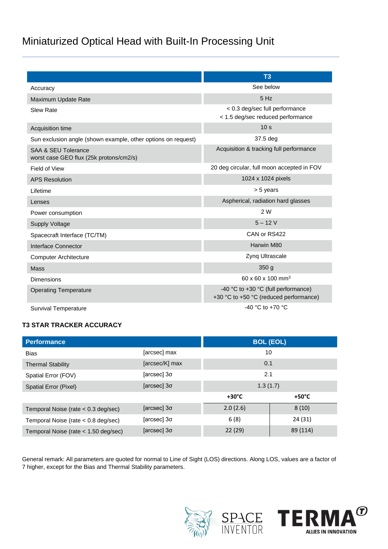## Miniaturized Optical Head with Built-In Processing Unit

|                                                                | T <sub>3</sub>                                                                |  |
|----------------------------------------------------------------|-------------------------------------------------------------------------------|--|
| Accuracy                                                       | See below                                                                     |  |
| Maximum Update Rate                                            | 5 Hz                                                                          |  |
| <b>Slew Rate</b>                                               | < 0.3 deg/sec full performance<br>< 1.5 deg/sec reduced performance           |  |
| Acquisition time                                               | 10 <sub>s</sub>                                                               |  |
| Sun exclusion angle (shown example, other options on request)  | 37.5 deg                                                                      |  |
| SAA & SEU Tolerance<br>worst case GEO flux (25k protons/cm2/s) | Acquisition & tracking full performance                                       |  |
| Field of View                                                  | 20 deg circular, full moon accepted in FOV                                    |  |
| <b>APS Resolution</b>                                          | 1024 x 1024 pixels                                                            |  |
| Lifetime                                                       | > 5 years                                                                     |  |
| Lenses                                                         | Aspherical, radiation hard glasses                                            |  |
| Power consumption                                              | 2 W                                                                           |  |
| <b>Supply Voltage</b>                                          | $5 - 12V$                                                                     |  |
| Spacecraft Interface (TC/TM)                                   | CAN or RS422                                                                  |  |
| Interface Connector                                            | Harwin M80                                                                    |  |
| <b>Computer Architecture</b>                                   | Zynq Ultrascale                                                               |  |
| <b>Mass</b>                                                    | 350g                                                                          |  |
| <b>Dimensions</b>                                              | 60 x 60 x 100 mm <sup>3</sup>                                                 |  |
| <b>Operating Temperature</b>                                   | -40 °C to +30 °C (full performance)<br>+30 °C to +50 °C (reduced performance) |  |
| <b>Survival Temperature</b>                                    | $-40$ °C to $+70$ °C                                                          |  |

#### **T3 STAR TRACKER ACCURACY**

| <b>Performance</b>                    |                    |                 | <b>BOL (EOL)</b> |  |
|---------------------------------------|--------------------|-----------------|------------------|--|
| <b>Bias</b>                           | [arcsec] max       | 10              |                  |  |
| <b>Thermal Stability</b>              | [arcsec/K] max     | 0.1             |                  |  |
| Spatial Error (FOV)                   | [arcsec] 3σ        | 2.1             |                  |  |
| Spatial Error (Pixel)                 | [arcsec] 3σ        | 1.3(1.7)        |                  |  |
|                                       |                    | $+30^{\circ}$ C | $+50^{\circ}$ C  |  |
| Temporal Noise (rate $< 0.3$ deg/sec) | [arcsec] $3\sigma$ | 2.0(2.6)        | 8(10)            |  |
| Temporal Noise (rate $< 0.8$ deg/sec) | [arcsec] 3σ        | 6(8)            | 24 (31)          |  |
| Temporal Noise (rate < 1.50 deg/sec)  | [arcsec] 30        | 22(29)          | 89 (114)         |  |

General remark: All parameters are quoted for normal to Line of Sight (LOS) directions. Along LOS, values are a factor of 7 higher, except for the Bias and Thermal Stability parameters.